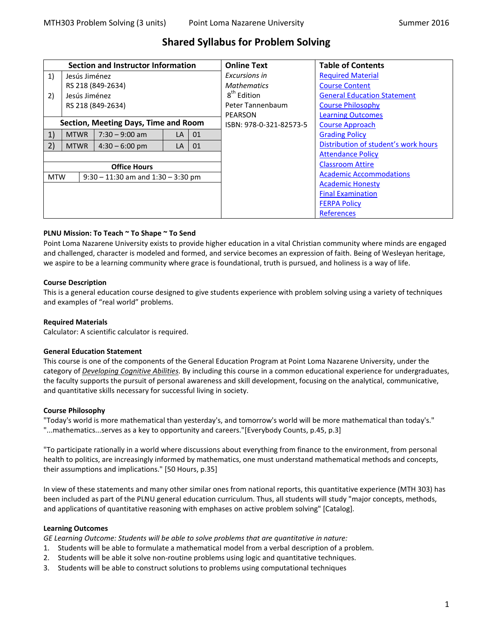# **Shared Syllabus for Problem Solving**

| Section and Instructor Information                   |                   |                  |                         | <b>Online Text</b>                 | <b>Table of Contents</b>       |                                      |
|------------------------------------------------------|-------------------|------------------|-------------------------|------------------------------------|--------------------------------|--------------------------------------|
| 1)                                                   | Jesús Jiménez     |                  | Excursions in           | <b>Required Material</b>           |                                |                                      |
|                                                      | RS 218 (849-2634) |                  | <b>Mathematics</b>      | <b>Course Content</b>              |                                |                                      |
| 2)                                                   | Jesús Jiménez     |                  | 8 <sup>th</sup> Edition | <b>General Education Statement</b> |                                |                                      |
|                                                      | RS 218 (849-2634) |                  |                         |                                    | Peter Tannenbaum               | <b>Course Philosophy</b>             |
|                                                      |                   |                  |                         | PEARSON                            | <b>Learning Outcomes</b>       |                                      |
| Section, Meeting Days, Time and Room                 |                   |                  |                         | ISBN: 978-0-321-82573-5            | <b>Course Approach</b>         |                                      |
| 1)                                                   | <b>MTWR</b>       | $7:30 - 9:00$ am | <b>LA</b>               | 01                                 |                                | <b>Grading Policy</b>                |
| 2)                                                   | <b>MTWR</b>       | $4:30 - 6:00$ pm | LA                      | 01                                 |                                | Distribution of student's work hours |
|                                                      |                   |                  |                         |                                    | <b>Attendance Policy</b>       |                                      |
| <b>Office Hours</b>                                  |                   |                  |                         |                                    |                                | <b>Classroom Attire</b>              |
| <b>MTW</b><br>$9:30 - 11:30$ am and $1:30 - 3:30$ pm |                   |                  |                         |                                    | <b>Academic Accommodations</b> |                                      |
|                                                      |                   |                  |                         |                                    | <b>Academic Honesty</b>        |                                      |
|                                                      |                   |                  |                         |                                    | <b>Final Examination</b>       |                                      |
|                                                      |                   |                  |                         |                                    |                                | <b>FERPA Policy</b>                  |
|                                                      |                   |                  |                         |                                    |                                | <b>References</b>                    |

## <span id="page-0-0"></span>**PLNU Mission: To Teach ~ To Shape ~ To Send**

Point Loma Nazarene University exists to provide higher education in a vital Christian community where minds are engaged and challenged, character is modeled and formed, and service becomes an expression of faith. Being of Wesleyan heritage, we aspire to be a learning community where grace is foundational, truth is pursued, and holiness is a way of life.

## **Course Description**

This is a general education course designed to give students experience with problem solving using a variety of techniques and examples of "real world" problems.

## **Required Materials**

Calculator: A scientific calculator is required.

## <span id="page-0-1"></span>**General Education Statement**

This course is one of the components of the General Education Program at Point Loma Nazarene University, under the category of *Developing Cognitive Abilities.* By including this course in a common educational experience for undergraduates, the faculty supports the pursuit of personal awareness and skill development, focusing on the analytical, communicative, and quantitative skills necessary for successful living in society.

## <span id="page-0-2"></span>**Course Philosophy**

"Today's world is more mathematical than yesterday's, and tomorrow's world will be more mathematical than today's." "...mathematics...serves as a key to opportunity and careers."[Everybody Counts, p.45, p.3]

"To participate rationally in a world where discussions about everything from finance to the environment, from personal health to politics, are increasingly informed by mathematics, one must understand mathematical methods and concepts, their assumptions and implications." [50 Hours, p.35]

In view of these statements and many other similar ones from national reports, this quantitative experience (MTH 303) has been included as part of the PLNU general education curriculum. Thus, all students will study "major concepts, methods, and applications of quantitative reasoning with emphases on active problem solving" [Catalog].

## <span id="page-0-3"></span>**Learning Outcomes**

*GE Learning Outcome: Students will be able to solve problems that are quantitative in nature:*

- 1. Students will be able to formulate a mathematical model from a verbal description of a problem.
- 2. Students will be able it solve non-routine problems using logic and quantitative techniques.
- 3. Students will be able to construct solutions to problems using computational techniques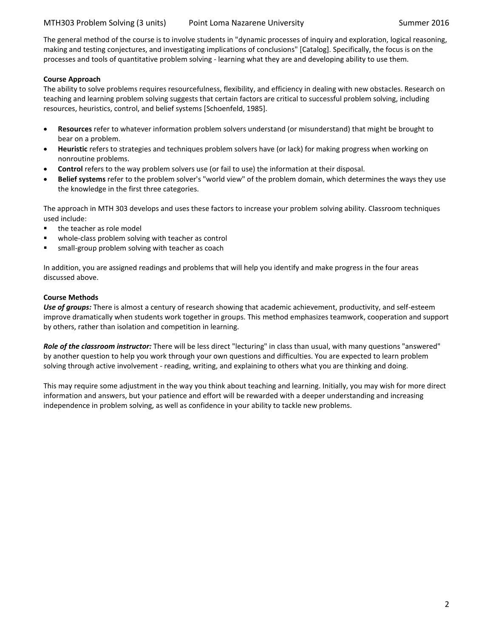The general method of the course is to involve students in "dynamic processes of inquiry and exploration, logical reasoning, making and testing conjectures, and investigating implications of conclusions" [Catalog]. Specifically, the focus is on the processes and tools of quantitative problem solving - learning what they are and developing ability to use them.

## <span id="page-1-0"></span>**Course Approach**

The ability to solve problems requires resourcefulness, flexibility, and efficiency in dealing with new obstacles. Research on teaching and learning problem solving suggests that certain factors are critical to successful problem solving, including resources, heuristics, control, and belief systems [Schoenfeld, 1985].

- **Resources** refer to whatever information problem solvers understand (or misunderstand) that might be brought to bear on a problem.
- **Heuristic** refers to strategies and techniques problem solvers have (or lack) for making progress when working on nonroutine problems.
- **Control** refers to the way problem solvers use (or fail to use) the information at their disposal.
- **Belief systems** refer to the problem solver's "world view" of the problem domain, which determines the ways they use the knowledge in the first three categories.

The approach in MTH 303 develops and uses these factors to increase your problem solving ability. Classroom techniques used include:

- the teacher as role model
- whole-class problem solving with teacher as control
- small-group problem solving with teacher as coach

In addition, you are assigned readings and problems that will help you identify and make progress in the four areas discussed above.

## **Course Methods**

*Use of groups:* There is almost a century of research showing that academic achievement, productivity, and self-esteem improve dramatically when students work together in groups. This method emphasizes teamwork, cooperation and support by others, rather than isolation and competition in learning.

*Role of the classroom instructor:* There will be less direct "lecturing" in class than usual, with many questions "answered" by another question to help you work through your own questions and difficulties. You are expected to learn problem solving through active involvement - reading, writing, and explaining to others what you are thinking and doing.

This may require some adjustment in the way you think about teaching and learning. Initially, you may wish for more direct information and answers, but your patience and effort will be rewarded with a deeper understanding and increasing independence in problem solving, as well as confidence in your ability to tackle new problems.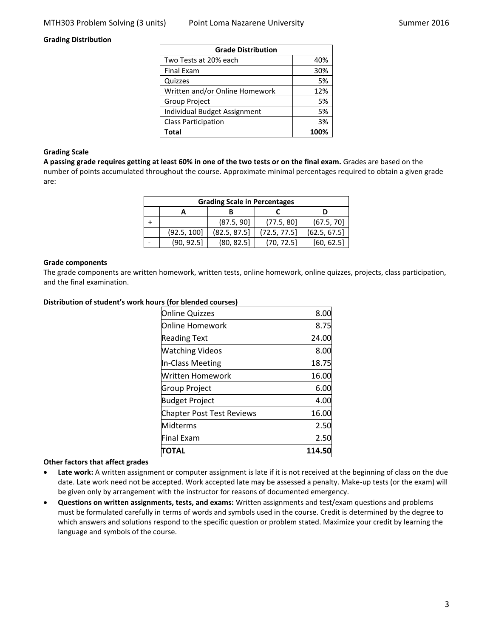#### <span id="page-2-0"></span>**Grading Distribution**

| <b>Grade Distribution</b>      |      |  |
|--------------------------------|------|--|
| Two Tests at 20% each          | 40%  |  |
| <b>Final Exam</b>              | 30%  |  |
| Quizzes                        | 5%   |  |
| Written and/or Online Homework | 12%  |  |
| <b>Group Project</b>           | 5%   |  |
| Individual Budget Assignment   | 5%   |  |
| <b>Class Participation</b>     | 3%   |  |
| Total                          | 100% |  |

#### **Grading Scale**

**A passing grade requires getting at least 60% in one of the two tests or on the final exam.** Grades are based on the number of points accumulated throughout the course. Approximate minimal percentages required to obtain a given grade are:

| <b>Grading Scale in Percentages</b> |             |              |              |              |  |  |
|-------------------------------------|-------------|--------------|--------------|--------------|--|--|
|                                     |             |              |              |              |  |  |
|                                     |             | (87.5, 90]   | (77.5, 80)   | (67.5, 70)   |  |  |
|                                     | (92.5, 100] | (82.5, 87.5) | (72.5, 77.5) | (62.5, 67.5) |  |  |
|                                     | (90, 92.5)  | (80, 82.5)   | (70, 72.5)   | [60, 62.5]   |  |  |

#### **Grade components**

The grade components are written homework, written tests, online homework, online quizzes, projects, class participation, and the final examination.

#### <span id="page-2-1"></span>**Distribution of student's work hours (for blended courses)**

| <b>Online Quizzes</b>            | 8.00   |
|----------------------------------|--------|
| lOnline Homework                 | 8.75   |
| <b>Reading Text</b>              | 24.00  |
| <b>Watching Videos</b>           | 8.00   |
| In-Class Meeting                 | 18.75  |
| Written Homework                 | 16.00  |
| <b>Group Project</b>             | 6.00   |
| <b>Budget Project</b>            | 4.00   |
| <b>Chapter Post Test Reviews</b> | 16.00  |
| <b>Midterms</b>                  | 2.50   |
| <b>Final Exam</b>                | 2.50   |
| ΠΟΤΑL                            | 114.50 |

#### **Other factors that affect grades**

- **Late work:** A written assignment or computer assignment is late if it is not received at the beginning of class on the due date. Late work need not be accepted. Work accepted late may be assessed a penalty. Make-up tests (or the exam) will be given only by arrangement with the instructor for reasons of documented emergency.
- **Questions on written assignments, tests, and exams:** Written assignments and test/exam questions and problems must be formulated carefully in terms of words and symbols used in the course. Credit is determined by the degree to which answers and solutions respond to the specific question or problem stated. Maximize your credit by learning the language and symbols of the course.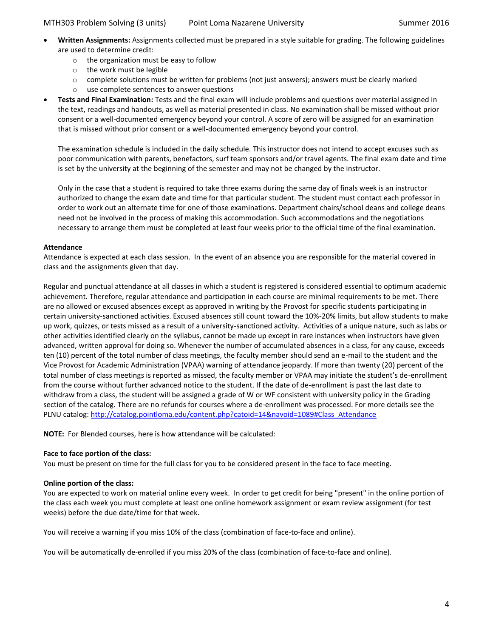- **Written Assignments:** Assignments collected must be prepared in a style suitable for grading. The following guidelines are used to determine credit:
	- o the organization must be easy to follow
	- o the work must be legible
	- $\circ$  complete solutions must be written for problems (not just answers); answers must be clearly marked
	- o use complete sentences to answer questions
- **Tests and Final Examination:** Tests and the final exam will include problems and questions over material assigned in the text, readings and handouts, as well as material presented in class. No examination shall be missed without prior consent or a well-documented emergency beyond your control. A score of zero will be assigned for an examination that is missed without prior consent or a well-documented emergency beyond your control.

The examination schedule is included in the daily schedule. This instructor does not intend to accept excuses such as poor communication with parents, benefactors, surf team sponsors and/or travel agents. The final exam date and time is set by the university at the beginning of the semester and may not be changed by the instructor.

Only in the case that a student is required to take three exams during the same day of finals week is an instructor authorized to change the exam date and time for that particular student. The student must contact each professor in order to work out an alternate time for one of those examinations. Department chairs/school deans and college deans need not be involved in the process of making this accommodation. Such accommodations and the negotiations necessary to arrange them must be completed at least four weeks prior to the official time of the final examination.

## <span id="page-3-0"></span>**Attendance**

Attendance is expected at each class session. In the event of an absence you are responsible for the material covered in class and the assignments given that day.

Regular and punctual attendance at all classes in which a student is registered is considered essential to optimum academic achievement. Therefore, regular attendance and participation in each course are minimal requirements to be met. There are no allowed or excused absences except as approved in writing by the Provost for specific students participating in certain university-sanctioned activities. Excused absences still count toward the 10%-20% limits, but allow students to make up work, quizzes, or tests missed as a result of a university-sanctioned activity. Activities of a unique nature, such as labs or other activities identified clearly on the syllabus, cannot be made up except in rare instances when instructors have given advanced, written approval for doing so. Whenever the number of accumulated absences in a class, for any cause, exceeds ten (10) percent of the total number of class meetings, the faculty member should send an e-mail to the student and the Vice Provost for Academic Administration (VPAA) warning of attendance jeopardy. If more than twenty (20) percent of the total number of class meetings is reported as missed, the faculty member or VPAA may initiate the student's de-enrollment from the course without further advanced notice to the student. If the date of de-enrollment is past the last date to withdraw from a class, the student will be assigned a grade of W or WF consistent with university policy in the Grading section of the catalog. There are no refunds for courses where a de-enrollment was processed. For more details see the PLNU catalog: [http://catalog.pointloma.edu/content.php?catoid=14&navoid=1089#Class\\_Attendance](http://catalog.pointloma.edu/content.php?catoid=14&navoid=1089#Class_Attendance)

**NOTE:** For Blended courses, here is how attendance will be calculated:

## **Face to face portion of the class:**

You must be present on time for the full class for you to be considered present in the face to face meeting.

## **Online portion of the class:**

You are expected to work on material online every week. In order to get credit for being "present" in the online portion of the class each week you must complete at least one online homework assignment or exam review assignment (for test weeks) before the due date/time for that week.

You will receive a warning if you miss 10% of the class (combination of face-to-face and online).

You will be automatically de-enrolled if you miss 20% of the class (combination of face-to-face and online).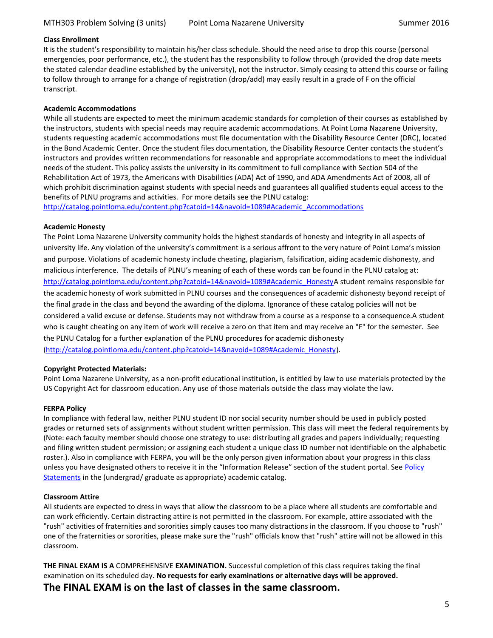### **Class Enrollment**

It is the student's responsibility to maintain his/her class schedule. Should the need arise to drop this course (personal emergencies, poor performance, etc.), the student has the responsibility to follow through (provided the drop date meets the stated calendar deadline established by the university), not the instructor. Simply ceasing to attend this course or failing to follow through to arrange for a change of registration (drop/add) may easily result in a grade of F on the official transcript.

## <span id="page-4-1"></span>**Academic Accommodations**

While all students are expected to meet the minimum academic standards for completion of their courses as established by the instructors, students with special needs may require academic accommodations. At Point Loma Nazarene University, students requesting academic accommodations must file documentation with the Disability Resource Center (DRC), located in the Bond Academic Center. Once the student files documentation, the Disability Resource Center contacts the student's instructors and provides written recommendations for reasonable and appropriate accommodations to meet the individual needs of the student. This policy assists the university in its commitment to full compliance with Section 504 of the Rehabilitation Act of 1973, the Americans with Disabilities (ADA) Act of 1990, and ADA Amendments Act of 2008, all of which prohibit discrimination against students with special needs and guarantees all qualified students equal access to the benefits of PLNU programs and activities. For more details see the PLNU catalog:

<span id="page-4-2"></span>[http://catalog.pointloma.edu/content.php?catoid=14&navoid=1089#Academic\\_Accommodations](http://catalog.pointloma.edu/content.php?catoid=14&navoid=1089#Academic_Accommodations)

#### **Academic Honesty**

The Point Loma Nazarene University community holds the highest standards of honesty and integrity in all aspects of university life. Any violation of the university's commitment is a serious affront to the very nature of Point Loma's mission and purpose. Violations of academic honesty include cheating, plagiarism, falsification, aiding academic dishonesty, and malicious interference. The details of PLNU's meaning of each of these words can be found in the PLNU catalog at: [http://catalog.pointloma.edu/content.php?catoid=14&navoid=1089#Academic\\_HonestyA](http://catalog.pointloma.edu/content.php?catoid=14&navoid=1089#Academic_Honesty) student remains responsible for the academic honesty of work submitted in PLNU courses and the consequences of academic dishonesty beyond receipt of the final grade in the class and beyond the awarding of the diploma. Ignorance of these catalog policies will not be considered a valid excuse or defense. Students may not withdraw from a course as a response to a consequence.A student who is caught cheating on any item of work will receive a zero on that item and may receive an "F" for the semester. See the PLNU Catalog for a further explanation of the PLNU procedures for academic dishonesty [\(http://catalog.pointloma.edu/content.php?catoid=14&navoid=1089#Academic\\_Honesty\)](http://catalog.pointloma.edu/content.php?catoid=14&navoid=1089#Academic_Honesty).

#### **Copyright Protected Materials:**

Point Loma Nazarene University, as a non-profit educational institution, is entitled by law to use materials protected by the US Copyright Act for classroom education. Any use of those materials outside the class may violate the law.

#### <span id="page-4-4"></span>**FERPA Policy**

In compliance with federal law, neither PLNU student ID nor social security number should be used in publicly posted grades or returned sets of assignments without student written permission. This class will meet the federal requirements by (Note: each faculty member should choose one strategy to use: distributing all grades and papers individually; requesting and filing written student permission; or assigning each student a unique class ID number not identifiable on the alphabetic roster.). Also in compliance with FERPA, you will be the only person given information about your progress in this class unless you have designated others to receive it in the "Information Release" section of the student portal. See Policy [Statements](http://www.pointloma.edu/experience/academics/catalogs/undergraduate-catalog/policy-statements) in the (undergrad/ graduate as appropriate) academic catalog.

#### <span id="page-4-0"></span>**Classroom Attire**

All students are expected to dress in ways that allow the classroom to be a place where all students are comfortable and can work efficiently. Certain distracting attire is not permitted in the classroom. For example, attire associated with the "rush" activities of fraternities and sororities simply causes too many distractions in the classroom. If you choose to "rush" one of the fraternities or sororities, please make sure the "rush" officials know that "rush" attire will not be allowed in this classroom.

<span id="page-4-3"></span>**THE FINAL EXAM IS A** COMPREHENSIVE **EXAMINATION.** Successful completion of this class requires taking the final examination on its scheduled day. **No requests for early examinations or alternative days will be approved. The FINAL EXAM is on the last of classes in the same classroom.**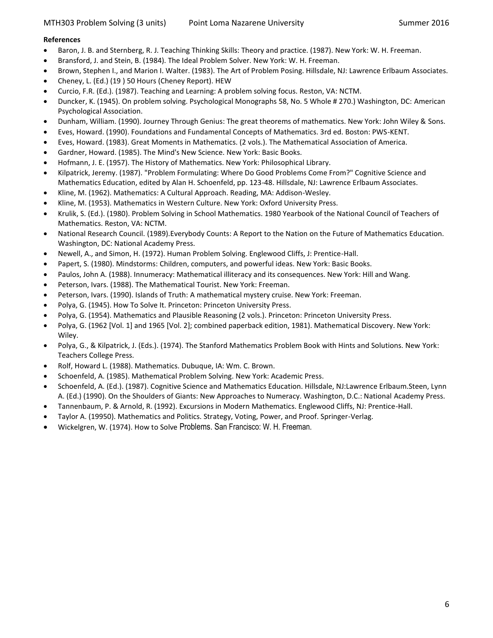## <span id="page-5-0"></span>**References**

- Baron, J. B. and Sternberg, R. J. Teaching Thinking Skills: Theory and practice. (1987). New York: W. H. Freeman.
- Bransford, J. and Stein, B. (1984). The Ideal Problem Solver. New York: W. H. Freeman.
- Brown, Stephen I., and Marion I. Walter. (1983). The Art of Problem Posing. Hillsdale, NJ: Lawrence Erlbaum Associates.
- Cheney, L. (Ed.) (19 ) 50 Hours (Cheney Report). HEW
- Curcio, F.R. (Ed.). (1987). Teaching and Learning: A problem solving focus. Reston, VA: NCTM.
- Duncker, K. (1945). On problem solving. Psychological Monographs 58, No. 5 Whole # 270.) Washington, DC: American Psychological Association.
- Dunham, William. (1990). Journey Through Genius: The great theorems of mathematics. New York: John Wiley & Sons.
- Eves, Howard. (1990). Foundations and Fundamental Concepts of Mathematics. 3rd ed. Boston: PWS-KENT.
- Eves, Howard. (1983). Great Moments in Mathematics. (2 vols.). The Mathematical Association of America.
- Gardner, Howard. (1985). The Mind's New Science. New York: Basic Books.
- Hofmann, J. E. (1957). The History of Mathematics. New York: Philosophical Library.
- Kilpatrick, Jeremy. (1987). "Problem Formulating: Where Do Good Problems Come From?" Cognitive Science and Mathematics Education, edited by Alan H. Schoenfeld, pp. 123-48. Hillsdale, NJ: Lawrence Erlbaum Associates.
- Kline, M. (1962). Mathematics: A Cultural Approach. Reading, MA: Addison-Wesley.
- Kline, M. (1953). Mathematics in Western Culture. New York: Oxford University Press.
- Krulik, S. (Ed.). (1980). Problem Solving in School Mathematics. 1980 Yearbook of the National Council of Teachers of Mathematics. Reston, VA: NCTM.
- National Research Council. (1989).Everybody Counts: A Report to the Nation on the Future of Mathematics Education. Washington, DC: National Academy Press.
- Newell, A., and Simon, H. (1972). Human Problem Solving. Englewood Cliffs, J: Prentice-Hall.
- Papert, S. (1980). Mindstorms: Children, computers, and powerful ideas. New York: Basic Books.
- Paulos, John A. (1988). Innumeracy: Mathematical illiteracy and its consequences. New York: Hill and Wang.
- Peterson, Ivars. (1988). The Mathematical Tourist. New York: Freeman.
- Peterson, Ivars. (1990). Islands of Truth: A mathematical mystery cruise. New York: Freeman.
- Polya, G. (1945). How To Solve It. Princeton: Princeton University Press.
- Polya, G. (1954). Mathematics and Plausible Reasoning (2 vols.). Princeton: Princeton University Press.
- Polya, G. (1962 [Vol. 1] and 1965 [Vol. 2]; combined paperback edition, 1981). Mathematical Discovery. New York: Wiley.
- Polya, G., & Kilpatrick, J. (Eds.). (1974). The Stanford Mathematics Problem Book with Hints and Solutions. New York: Teachers College Press.
- Rolf, Howard L. (1988). Mathematics. Dubuque, IA: Wm. C. Brown.
- Schoenfeld, A. (1985). Mathematical Problem Solving. New York: Academic Press.
- Schoenfeld, A. (Ed.). (1987). Cognitive Science and Mathematics Education. Hillsdale, NJ:Lawrence Erlbaum.Steen, Lynn A. (Ed.) (1990). On the Shoulders of Giants: New Approaches to Numeracy. Washington, D.C.: National Academy Press.
- Tannenbaum, P. & Arnold, R. (1992). Excursions in Modern Mathematics. Englewood Cliffs, NJ: Prentice-Hall.
- Taylor A. (19950). Mathematics and Politics. Strategy, Voting, Power, and Proof. Springer-Verlag.
- Wickelgren, W. (1974). How to Solve Problems. San Francisco: W. H. Freeman.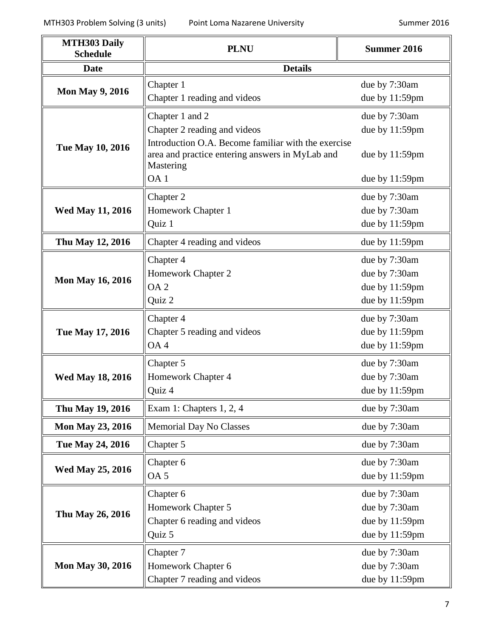| <b>MTH303 Daily</b><br><b>Schedule</b> | <b>PLNU</b>                                                                                                         | <b>Summer 2016</b> |  |  |
|----------------------------------------|---------------------------------------------------------------------------------------------------------------------|--------------------|--|--|
| <b>Date</b>                            | <b>Details</b>                                                                                                      |                    |  |  |
|                                        | Chapter 1                                                                                                           | due by 7:30am      |  |  |
| <b>Mon May 9, 2016</b>                 | Chapter 1 reading and videos                                                                                        | due by 11:59pm     |  |  |
|                                        | Chapter 1 and 2                                                                                                     | due by 7:30am      |  |  |
|                                        | Chapter 2 reading and videos                                                                                        | due by 11:59pm     |  |  |
| Tue May 10, 2016                       | Introduction O.A. Become familiar with the exercise<br>area and practice entering answers in MyLab and<br>Mastering | due by 11:59pm     |  |  |
|                                        | OA <sub>1</sub>                                                                                                     | due by $11:59$ pm  |  |  |
|                                        | Chapter 2                                                                                                           | due by 7:30am      |  |  |
| <b>Wed May 11, 2016</b>                | Homework Chapter 1                                                                                                  | due by 7:30am      |  |  |
|                                        | Quiz 1                                                                                                              | due by 11:59pm     |  |  |
| Thu May 12, 2016                       | Chapter 4 reading and videos                                                                                        | due by 11:59pm     |  |  |
|                                        | Chapter 4                                                                                                           | due by 7:30am      |  |  |
| <b>Mon May 16, 2016</b>                | Homework Chapter 2                                                                                                  | due by 7:30am      |  |  |
|                                        | OA <sub>2</sub>                                                                                                     | due by 11:59pm     |  |  |
|                                        | Quiz 2                                                                                                              | due by 11:59pm     |  |  |
|                                        | Chapter 4                                                                                                           | due by 7:30am      |  |  |
| Tue May 17, 2016                       | Chapter 5 reading and videos                                                                                        | due by 11:59pm     |  |  |
|                                        | OA <sub>4</sub>                                                                                                     | due by 11:59pm     |  |  |
|                                        | Chapter 5                                                                                                           | due by 7:30am      |  |  |
| <b>Wed May 18, 2016</b>                | Homework Chapter 4                                                                                                  | due by 7:30am      |  |  |
|                                        | Quiz 4                                                                                                              | due by 11:59pm     |  |  |
| Thu May 19, 2016                       | Exam 1: Chapters 1, 2, 4                                                                                            | due by 7:30am      |  |  |
| <b>Mon May 23, 2016</b>                | <b>Memorial Day No Classes</b>                                                                                      | due by 7:30am      |  |  |
| Tue May 24, 2016                       | Chapter 5                                                                                                           | due by 7:30am      |  |  |
|                                        | Chapter 6                                                                                                           | due by 7:30am      |  |  |
| <b>Wed May 25, 2016</b>                | OA <sub>5</sub>                                                                                                     | due by 11:59pm     |  |  |
|                                        | Chapter 6                                                                                                           | due by 7:30am      |  |  |
| Thu May 26, 2016                       | Homework Chapter 5                                                                                                  | due by 7:30am      |  |  |
|                                        | Chapter 6 reading and videos                                                                                        | due by 11:59pm     |  |  |
|                                        | Quiz 5                                                                                                              | due by 11:59pm     |  |  |
|                                        | Chapter 7                                                                                                           | due by 7:30am      |  |  |
| <b>Mon May 30, 2016</b>                | Homework Chapter 6                                                                                                  | due by 7:30am      |  |  |
|                                        | Chapter 7 reading and videos                                                                                        | due by 11:59pm     |  |  |